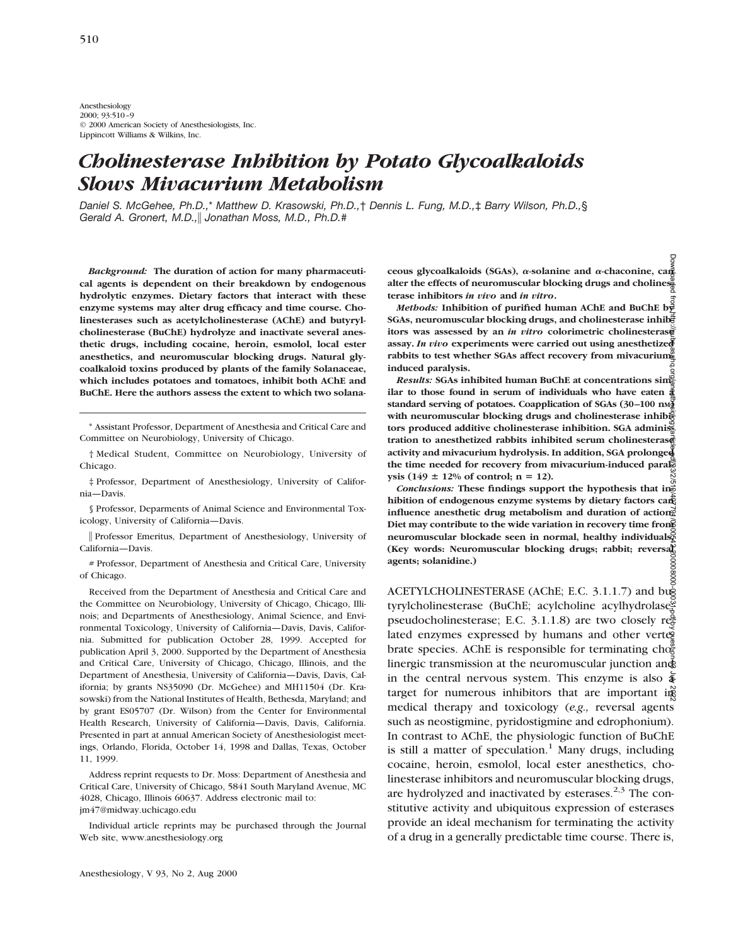510

Anesthesiology 2000; 93:510–9 © 2000 American Society of Anesthesiologists, Inc. Lippincott Williams & Wilkins, Inc.

# *Cholinesterase Inhibition by Potato Glycoalkaloids Slows Mivacurium Metabolism*

*Daniel S. McGehee, Ph.D.,*\* *Matthew D. Krasowski, Ph.D.,*† *Dennis L. Fung, M.D.,*‡ *Barry Wilson, Ph.D.,*§ *Gerald A. Gronert, M.D.,*i *Jonathan Moss, M.D., Ph.D.#*

*Background:* **The duration of action for many pharmaceutical agents is dependent on their breakdown by endogenous hydrolytic enzymes. Dietary factors that interact with these enzyme systems may alter drug efficacy and time course. Cholinesterases such as acetylcholinesterase (AChE) and butyrylcholinesterase (BuChE) hydrolyze and inactivate several anesthetic drugs, including cocaine, heroin, esmolol, local ester anesthetics, and neuromuscular blocking drugs. Natural glycoalkaloid toxins produced by plants of the family Solanaceae, which includes potatoes and tomatoes, inhibit both AChE and BuChE. Here the authors assess the extent to which two solana-**

\* Assistant Professor, Department of Anesthesia and Critical Care and Committee on Neurobiology, University of Chicago.

† Medical Student, Committee on Neurobiology, University of Chicago.

‡ Professor, Department of Anesthesiology, University of California—Davis.

§ Professor, Deparments of Animal Science and Environmental Toxicology, University of California—Davis.

i Professor Emeritus, Department of Anesthesiology, University of California—Davis.

# Professor, Department of Anesthesia and Critical Care, University of Chicago.

Received from the Department of Anesthesia and Critical Care and the Committee on Neurobiology, University of Chicago, Chicago, Illinois; and Departments of Anesthesiology, Animal Science, and Environmental Toxicology, University of California—Davis, Davis, California. Submitted for publication October 28, 1999. Accepted for publication April 3, 2000. Supported by the Department of Anesthesia and Critical Care, University of Chicago, Chicago, Illinois, and the Department of Anesthesia, University of California—Davis, Davis, California; by grants NS35090 (Dr. McGehee) and MH11504 (Dr. Krasowski) from the National Institutes of Health, Bethesda, Maryland; and by grant ES05707 (Dr. Wilson) from the Center for Environmental Health Research, University of California—Davis, Davis, California. Presented in part at annual American Society of Anesthesiologist meetings, Orlando, Florida, October 14, 1998 and Dallas, Texas, October 11, 1999.

Address reprint requests to Dr. Moss: Department of Anesthesia and Critical Care, University of Chicago, 5841 South Maryland Avenue, MC 4028, Chicago, Illinois 60637. Address electronic mail to: jm47@midway.uchicago.edu

Individual article reprints may be purchased through the Journal Web site, www.anesthesiology.org

**ceous glycoalkaloids (SGAs),** <sup>a</sup>**-solanine and** <sup>a</sup>**-chaconine, can alter the effects of neuromuscular blocking drugs and cholinesterase inhibitors** *in vivo* **and** *in vitro***.**

*Methods:* **Inhibition of purified human AChE and BuChE by** SGAs, neuromuscular blocking drugs, and cholinesterase inhibe**itors was assessed by an** *in vitro* **colorimetric cholinesterase assay.** *In vivo* **experiments were carried out using anesthetized** rabbits to test whether SGAs affect recovery from mivacurium<sup>®</sup> **induced paralysis.**

*Results:* **SGAs inhibited human BuChE at concentrations similar to those found in serum of individuals who have eaten a** standard serving of potatoes. Coapplication of SGAs (30-100 nm) with neuromuscular blocking drugs and cholinesterase inhibi<sup>5</sup> **tors produced additive cholinesterase inhibition. SGA administration to anesthetized rabbits inhibited serum cholinesterase activity and mivacurium hydrolysis. In addition, SGA prolonged** the time needed for recovery from mivacurium-induced paral<sup>2</sup> **ysis** (149  $\pm$  12% of control; n = 12).

Conclusions: These findings support the hypothesis that ine **hibition of endogenous enzyme systems by dietary factors can influence anesthetic drug metabolism and duration of action. Diet may contribute to the wide variation in recovery time from neuromuscular blockade seen in normal, healthy individuals. (Key words: Neuromuscular blocking drugs; rabbit; reversal agents; solanidine.)** 0088000

ACETYLCHOLINESTERASE (AChE; E.C. 3.1.1.7) and bug tyrylcholinesterase (BuChE; acylcholine acylhydrolase<sup> $\frac{\infty}{4}$ </sup> pseudocholinesterase; E.C. 3.1.1.8) are two closely re $\frac{1}{5}$ lated enzymes expressed by humans and other verteg brate species. AChE is responsible for terminating cho $\frac{2}{5}$ linergic transmission at the neuromuscular junction and in the central nervous system. This enzyme is also  $\bar{\xi}$ target for numerous inhibitors that are important in medical therapy and toxicology (*e.g.,* reversal agents such as neostigmine, pyridostigmine and edrophonium). In contrast to AChE, the physiologic function of BuChE is still a matter of speculation.<sup>1</sup> Many drugs, including cocaine, heroin, esmolol, local ester anesthetics, cholinesterase inhibitors and neuromuscular blocking drugs, are hydrolyzed and inactivated by esterases.<sup>2,3</sup> The constitutive activity and ubiquitous expression of esterases provide an ideal mechanism for terminating the activity of a drug in a generally predictable time course. There is, Downloaded from http://pubs.asahq.org/anesthesiology/article-pdf/93/2/510/407/200000000000000000000000000000000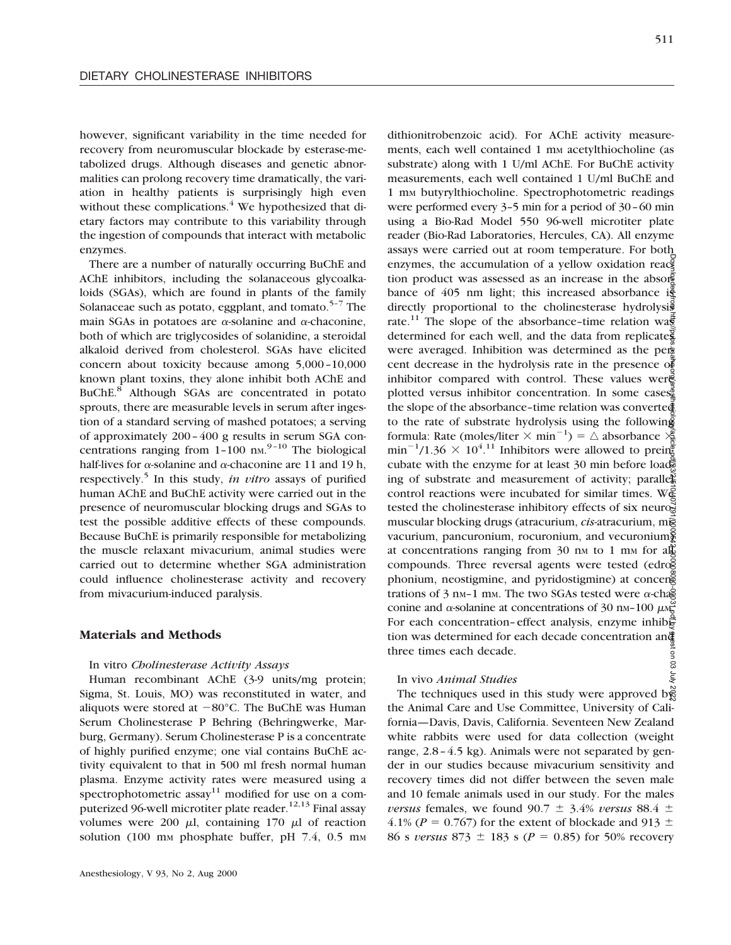however, significant variability in the time needed for recovery from neuromuscular blockade by esterase-metabolized drugs. Although diseases and genetic abnormalities can prolong recovery time dramatically, the variation in healthy patients is surprisingly high even without these complications. $4$  We hypothesized that dietary factors may contribute to this variability through the ingestion of compounds that interact with metabolic enzymes.

There are a number of naturally occurring BuChE and AChE inhibitors, including the solanaceous glycoalkaloids (SGAs), which are found in plants of the family Solanaceae such as potato, eggplant, and tomato. $5-7$  The main SGAs in potatoes are  $\alpha$ -solanine and  $\alpha$ -chaconine, both of which are triglycosides of solanidine, a steroidal alkaloid derived from cholesterol. SGAs have elicited concern about toxicity because among 5,000–10,000 known plant toxins, they alone inhibit both AChE and BuChE.8 Although SGAs are concentrated in potato sprouts, there are measurable levels in serum after ingestion of a standard serving of mashed potatoes; a serving of approximately 200–400 g results in serum SGA concentrations ranging from  $1-100$  nm.<sup>9-10</sup> The biological half-lives for  $\alpha$ -solanine and  $\alpha$ -chaconine are 11 and 19 h, respectively.5 In this study, *in vitro* assays of purified human AChE and BuChE activity were carried out in the presence of neuromuscular blocking drugs and SGAs to test the possible additive effects of these compounds. Because BuChE is primarily responsible for metabolizing the muscle relaxant mivacurium, animal studies were carried out to determine whether SGA administration could influence cholinesterase activity and recovery from mivacurium-induced paralysis.

## **Materials and Methods**

#### In vitro *Cholinesterase Activity Assays*

Human recombinant AChE (3-9 units/mg protein; Sigma, St. Louis, MO) was reconstituted in water, and aliquots were stored at  $-80^{\circ}$ C. The BuChE was Human Serum Cholinesterase P Behring (Behringwerke, Marburg, Germany). Serum Cholinesterase P is a concentrate of highly purified enzyme; one vial contains BuChE activity equivalent to that in 500 ml fresh normal human plasma. Enzyme activity rates were measured using a spectrophotometric  $assay<sup>11</sup>$  modified for use on a computerized 96-well microtiter plate reader.<sup>12,13</sup> Final assay volumes were 200  $\mu$ l, containing 170  $\mu$ l of reaction solution (100 mm phosphate buffer, pH  $7.4$ , 0.5 mm

 $\overline{5}$ Ë

dithionitrobenzoic acid). For AChE activity measurements, each well contained 1 mm acetylthiocholine (as substrate) along with 1 U/ml AChE. For BuChE activity measurements, each well contained 1 U/ml BuChE and 1 mM butyrylthiocholine. Spectrophotometric readings were performed every 3–5 min for a period of 30–60 min using a Bio-Rad Model 550 96-well microtiter plate reader (Bio-Rad Laboratories, Hercules, CA). All enzyme assays were carried out at room temperature. For both Downloaded from http://pubs.asahq.org/anesthesiology/article-pdf/93/2/510/407791/0000542-200008000-00031.pdf by guest on 03 July 2022enzymes, the accumulation of a yellow oxidation reacetion product was assessed as an increase in the absorbance of 405 nm light; this increased absorbance is directly proportional to the cholinesterase hydrolysis rate.<sup>11</sup> The slope of the absorbance–time relation was determined for each well, and the data from replicate. were averaged. Inhibition was determined as the percent decrease in the hydrolysis rate in the presence  $\overline{O}$ inhibitor compared with control. These values were plotted versus inhibitor concentration. In some cases, the slope of the absorbance–time relation was converted. to the rate of substrate hydrolysis using the following formula: Rate (moles/liter  $\times$  min<sup>-1</sup>) =  $\triangle$  absorbance  $\times$  $\min^{-1}/1.36 \times 10^{4.11}$  Inhibitors were allowed to preing cubate with the enzyme for at least 30 min before loading of substrate and measurement of activity; parallel control reactions were incubated for similar times. We tested the cholinesterase inhibitory effects of six neuromuscular blocking drugs (atracurium, *cis*-atracurium, mivacurium, pancuronium, rocuronium, and vecuronium $\tilde{\mathbf{\Sigma}}$ at concentrations ranging from 30 nm to 1 mm for all compounds. Three reversal agents were tested (edro $\mathcal{E}$ ) phonium, neostigmine, and pyridostigmine) at concen $\tilde{g}$ trations of 3 nm-1 mm. The two SGAs tested were  $\alpha$ -cha $\approx$ conine and  $\alpha$ -solanine at concentrations of 30 nm-100  $\mu\omega$ For each concentration–effect analysis, enzyme inhibition was determined for each decade concentration and three times each decade.  $\mathsf S$ 

## In vivo *Animal Studies*

The techniques used in this study were approved  $b_{\mathcal{R}}^{\infty}$ the Animal Care and Use Committee, University of California—Davis, Davis, California. Seventeen New Zealand white rabbits were used for data collection (weight range, 2.8–4.5 kg). Animals were not separated by gender in our studies because mivacurium sensitivity and recovery times did not differ between the seven male and 10 female animals used in our study. For the males *versus* females, we found 90.7  $\pm$  3.4% *versus* 88.4  $\pm$ 4.1% ( $P = 0.767$ ) for the extent of blockade and 913  $\pm$ 86 s *versus* 873  $\pm$  183 s (*P* = 0.85) for 50% recovery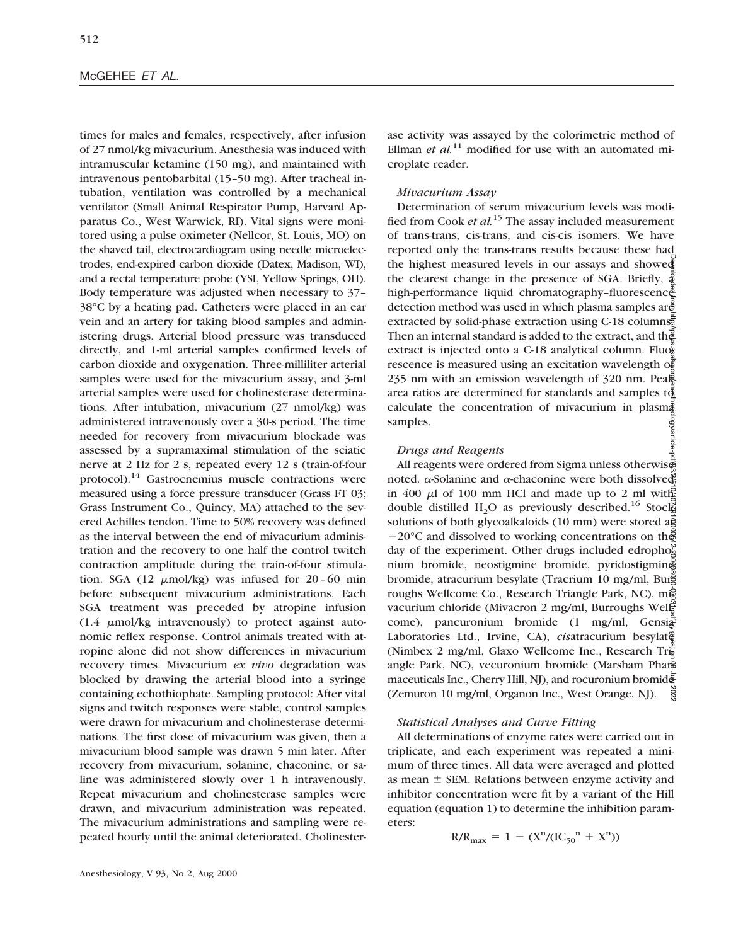times for males and females, respectively, after infusion of 27 nmol/kg mivacurium. Anesthesia was induced with intramuscular ketamine (150 mg), and maintained with intravenous pentobarbital (15–50 mg). After tracheal intubation, ventilation was controlled by a mechanical ventilator (Small Animal Respirator Pump, Harvard Apparatus Co., West Warwick, RI). Vital signs were monitored using a pulse oximeter (Nellcor, St. Louis, MO) on the shaved tail, electrocardiogram using needle microelectrodes, end-expired carbon dioxide (Datex, Madison, WI), and a rectal temperature probe (YSI, Yellow Springs, OH). Body temperature was adjusted when necessary to 37– 38°C by a heating pad. Catheters were placed in an ear vein and an artery for taking blood samples and administering drugs. Arterial blood pressure was transduced directly, and 1-ml arterial samples confirmed levels of carbon dioxide and oxygenation. Three-milliliter arterial samples were used for the mivacurium assay, and 3-ml arterial samples were used for cholinesterase determinations. After intubation, mivacurium (27 nmol/kg) was administered intravenously over a 30-s period. The time needed for recovery from mivacurium blockade was assessed by a supramaximal stimulation of the sciatic nerve at 2 Hz for 2 s, repeated every 12 s (train-of-four protocol).14 Gastrocnemius muscle contractions were measured using a force pressure transducer (Grass FT 03; Grass Instrument Co., Quincy, MA) attached to the severed Achilles tendon. Time to 50% recovery was defined as the interval between the end of mivacurium administration and the recovery to one half the control twitch contraction amplitude during the train-of-four stimulation. SGA (12  $\mu$ mol/kg) was infused for 20-60 min before subsequent mivacurium administrations. Each SGA treatment was preceded by atropine infusion  $(1.4 \mu \text{mol/kg}$  intravenously) to protect against autonomic reflex response. Control animals treated with atropine alone did not show differences in mivacurium recovery times. Mivacurium *ex vivo* degradation was blocked by drawing the arterial blood into a syringe containing echothiophate. Sampling protocol: After vital signs and twitch responses were stable, control samples were drawn for mivacurium and cholinesterase determinations. The first dose of mivacurium was given, then a mivacurium blood sample was drawn 5 min later. After recovery from mivacurium, solanine, chaconine, or saline was administered slowly over 1 h intravenously. Repeat mivacurium and cholinesterase samples were drawn, and mivacurium administration was repeated. The mivacurium administrations and sampling were repeated hourly until the animal deteriorated. Cholinesterase activity was assayed by the colorimetric method of Ellman *et al.*<sup>11</sup> modified for use with an automated microplate reader.

# *Mivacurium Assay*

Determination of serum mivacurium levels was modified from Cook *et al.*<sup>15</sup> The assay included measurement of trans-trans, cis-trans, and cis-cis isomers. We have reported only the trans-trans results because these had the highest measured levels in our assays and showed the clearest change in the presence of SGA. Briefly,  $\frac{2}{3}$ high-performance liquid chromatography-fluorescence detection method was used in which plasma samples are extracted by solid-phase extraction using C-18 columns. Then an internal standard is added to the extract, and the extract is injected onto a C-18 analytical column. Fluor rescence is measured using an excitation wavelength  $\overline{of}$ 235 nm with an emission wavelength of 320 nm. Peak area ratios are determined for standards and samples to calculate the concentration of mivacurium in plasm $\frac{3}{4}$ samples.

#### *Drugs and Reagents*

z and the settlem of the settlem of the settlem and the settlem in the settlem is the settlem of the settlem in the settlem in the settlem in the settlem in the settlem in the settlem in the settlem in the settlem in the s noted.  $\alpha$ -Solanine and  $\alpha$ -chaconine were both dissolved in 400  $\mu$ l of 100 mm HCl and made up to 2 ml with double distilled H<sub>2</sub>O as previously described.<sup>16</sup> Stoc $\ddot{\mathbb{R}}$ solutions of both glycoalkaloids (10 mm) were stored  $a\bar{g}$  $-20^{\circ}$ C and dissolved to working concentrations on the day of the experiment. Other drugs included edropho $\frac{1}{2}$ nium bromide, neostigmine bromide, pyridostigmine bromide, atracurium besylate (Tracrium 10 mg/ml, Burg roughs Wellcome Co., Research Triangle Park, NC),  $m\hat{g}$ vacurium chloride (Mivacron 2 mg/ml, Burroughs Well- $\ddot{\xi}$ come), pancuronium bromide (1 mg/ml, Gensi $\frac{3}{4}$ Laboratories Ltd., Irvine, CA), *cis*atracurium besylate (Nimbex 2 mg/ml, Glaxo Wellcome Inc., Research  $Tr\ddot{\tilde{b}}$ angle Park, NC), vecuronium bromide (Marsham Phare maceuticals Inc., Cherry Hill, NJ), and rocuronium bromide (Zemuron 10 mg/ml, Organon Inc., West Orange, NJ). Downloaded from http://pubs.asahq.org/anesthesiology/article-pdf/93/2/510/407791/0000542-200008000-00031.pdf by guest on 03 July 2022

#### *Statistical Analyses and Curve Fitting*

All determinations of enzyme rates were carried out in triplicate, and each experiment was repeated a minimum of three times. All data were averaged and plotted as mean  $\pm$  SEM. Relations between enzyme activity and inhibitor concentration were fit by a variant of the Hill equation (equation 1) to determine the inhibition parameters:

$$
R/R_{max} = 1 - (X^n/(IC_{50}^n + X^n))
$$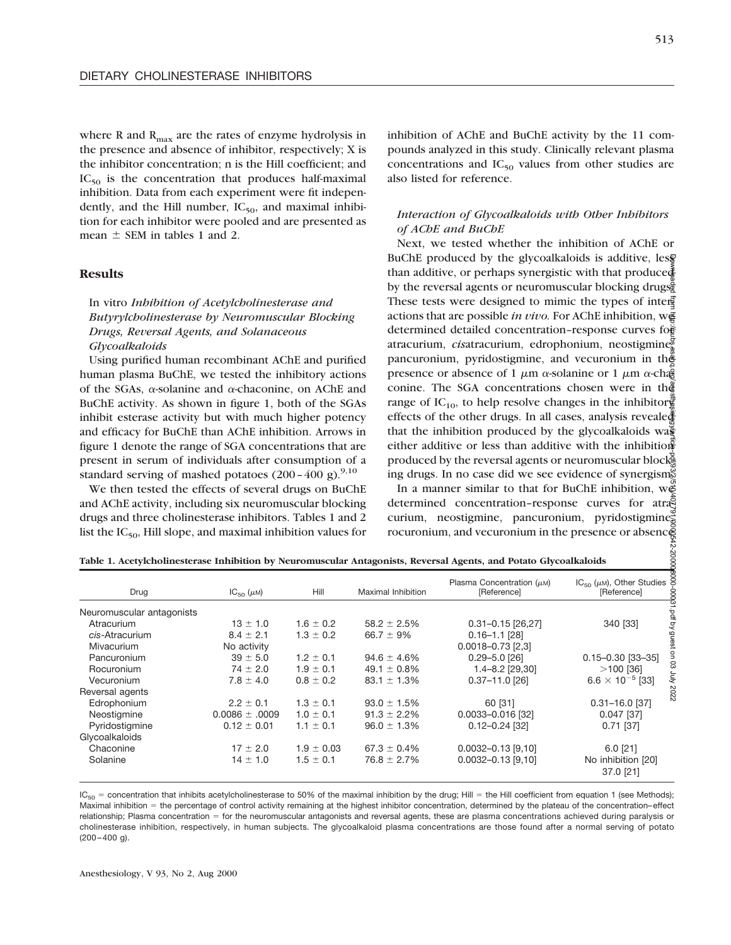where R and  $R_{\text{max}}$  are the rates of enzyme hydrolysis in the presence and absence of inhibitor, respectively; X is the inhibitor concentration; n is the Hill coefficient; and  $IC_{50}$  is the concentration that produces half-maximal inhibition. Data from each experiment were fit independently, and the Hill number,  $IC_{50}$ , and maximal inhibition for each inhibitor were pooled and are presented as mean  $\pm$  SEM in tables 1 and 2.

#### **Results**

In vitro *Inhibition of Acetylcholinesterase and Butyrylcholinesterase by Neuromuscular Blocking Drugs, Reversal Agents, and Solanaceous Glycoalkaloids*

Using purified human recombinant AChE and purified human plasma BuChE, we tested the inhibitory actions of the SGAs,  $\alpha$ -solanine and  $\alpha$ -chaconine, on AChE and BuChE activity. As shown in figure 1, both of the SGAs inhibit esterase activity but with much higher potency and efficacy for BuChE than AChE inhibition. Arrows in figure 1 denote the range of SGA concentrations that are present in serum of individuals after consumption of a standard serving of mashed potatoes  $(200-400 \text{ g})^{9,10}$ 

We then tested the effects of several drugs on BuChE and AChE activity, including six neuromuscular blocking drugs and three cholinesterase inhibitors. Tables 1 and 2 list the  $IC_{50}$ , Hill slope, and maximal inhibition values for

inhibition of AChE and BuChE activity by the 11 compounds analyzed in this study. Clinically relevant plasma concentrations and  $IC_{50}$  values from other studies are also listed for reference.

## *Interaction of Glycoalkaloids with Other Inhibitors of AChE and BuChE*

Next, we tested whether the inhibition of AChE or BuChE produced by the glycoalkaloids is additive, less than additive, or perhaps synergistic with that produce $\tilde{\mathbb{F}}$ by the reversal agents or neuromuscular blocking drugs. These tests were designed to mimic the types of interactions that are possible *in vivo.* For AChE inhibition, we determined detailed concentration–response curves for atracurium, *cis*atracurium, edrophonium, neostigmine, pancuronium, pyridostigmine, and vecuronium in the presence or absence of 1  $\mu$ m  $\alpha$ -solanine or 1  $\mu$ m  $\alpha$ -chaconine. The SGA concentrations chosen were in the range of IC<sub>10</sub>, to help resolve changes in the inhibitor effects of the other drugs. In all cases, analysis revealed that the inhibition produced by the glycoalkaloids was either additive or less than additive with the inhibition produced by the reversal agents or neuromuscular blocking drugs. In no case did we see evidence of synergism Downloaded from http://pubs.asahq.org/anesthesiology/article-pdf/93/2/510/407791/0000542-200008000-00031.pdf by guest on 03 July 2022

In a manner similar to that for BuChE inhibition,  $w\ddot{\hat{e}}$ determined concentration-response curves for atracurium, neostigmine, pancuronium, pyridostigmine $\frac{3}{2}$ rocuronium, and vecuronium in the presence or absence

| Table 1. Acetylcholinesterase Inhibition by Neuromuscular Antagonists, Reversal Agents, and Potato Glycoalkaloids |  |  |
|-------------------------------------------------------------------------------------------------------------------|--|--|
|-------------------------------------------------------------------------------------------------------------------|--|--|

| Drug                      | $IC_{50}$ ( $\mu$ M) | Hill           | Maximal Inhibition | Plasma Concentration $(\mu M)$<br>[Reference] | $IC_{50}$ ( $\mu$ M), Other Studies<br>[Reference] |
|---------------------------|----------------------|----------------|--------------------|-----------------------------------------------|----------------------------------------------------|
| Neuromuscular antagonists |                      |                |                    |                                               |                                                    |
| Atracurium                | $13 \pm 1.0$         | $1.6 \pm 0.2$  | $58.2 \pm 2.5\%$   | $0.31 - 0.15$ [26,27]                         | 340 [33]                                           |
| cis-Atracurium            | $8.4 \pm 2.1$        | $1.3 \pm 0.2$  | 66.7 $\pm$ 9%      | $0.16 - 1.1$ [28]                             |                                                    |
| <b>Mivacurium</b>         | No activity          |                |                    | $0.0018 - 0.73$ [2,3]                         |                                                    |
| Pancuronium               | $39 \pm 5.0$         | $1.2 \pm 0.1$  | $94.6 \pm 4.6\%$   | $0.29 - 5.0$ [26]                             | $0.15 - 0.30$ [33-35]                              |
| Rocuronium                | $74 \pm 2.0$         | $1.9 \pm 0.1$  | $49.1 \pm 0.8\%$   | 1.4-8.2 [29,30]                               | $>100$ [36]                                        |
| Vecuronium                | $7.8 \pm 4.0$        | $0.8 \pm 0.2$  | $83.1 \pm 1.3\%$   | $0.37 - 11.0$ [26]                            | $6.6 \times 10^{-5}$ [33]                          |
| Reversal agents           |                      |                |                    |                                               |                                                    |
| Edrophonium               | $2.2 \pm 0.1$        | $1.3 \pm 0.1$  | $93.0 \pm 1.5\%$   | 60 [31]                                       | $0.31 - 16.0$ [37]                                 |
| Neostigmine               | $0.0086 \pm .0009$   | $1.0 \pm 0.1$  | $91.3 \pm 2.2\%$   | 0.0033-0.016 [32]                             | $0.047$ [37]                                       |
| Pyridostigmine            | $0.12 \pm 0.01$      | $1.1 \pm 0.1$  | $96.0 \pm 1.3\%$   | $0.12 - 0.24$ [32]                            | $0.71$ [37]                                        |
| Glycoalkaloids            |                      |                |                    |                                               |                                                    |
| Chaconine                 | $17 \pm 2.0$         | $1.9 \pm 0.03$ | $67.3 \pm 0.4\%$   | $0.0032 - 0.13$ [9,10]                        | $6.0$ [21]                                         |
| Solanine                  | $14 \pm 1.0$         | $1.5 \pm 0.1$  | $76.8 \pm 2.7\%$   | $0.0032 - 0.13$ [9,10]                        | No inhibition [20]<br>37.0 [21]                    |

 $IC_{50}$  = concentration that inhibits acetylcholinesterase to 50% of the maximal inhibition by the drug; Hill = the Hill coefficient from equation 1 (see Methods); Maximal inhibition = the percentage of control activity remaining at the highest inhibitor concentration, determined by the plateau of the concentration–effect relationship; Plasma concentration = for the neuromuscular antagonists and reversal agents, these are plasma concentrations achieved during paralysis or cholinesterase inhibition, respectively, in human subjects. The glycoalkaloid plasma concentrations are those found after a normal serving of potato  $(200 - 400 \text{ a})$ .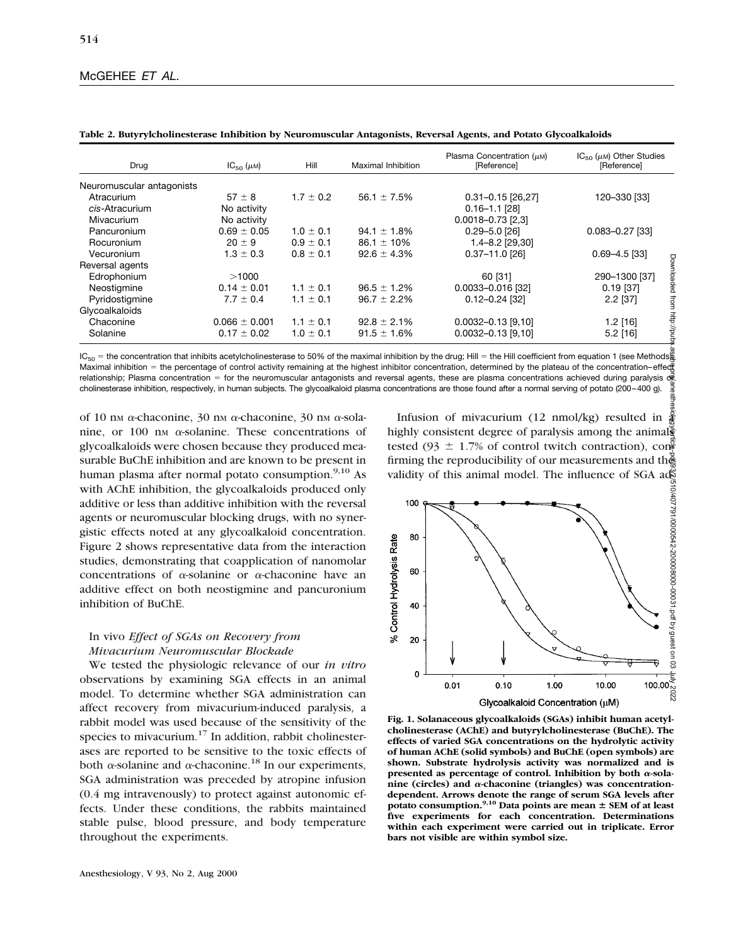| Drug                      | $IC_{50}$ ( $\mu$ M) | Hill          | Maximal Inhibition | Plasma Concentration $(\mu\text{M})$<br>[Reference] | $IC_{50}$ ( $\mu$ M) Other Studies<br>[Reference] |
|---------------------------|----------------------|---------------|--------------------|-----------------------------------------------------|---------------------------------------------------|
| Neuromuscular antagonists |                      |               |                    |                                                     |                                                   |
| Atracurium                | $57 \pm 8$           | $1.7 \pm 0.2$ | $56.1 \pm 7.5\%$   | $0.31 - 0.15$ [26,27]                               | 120-330 [33]                                      |
| cis-Atracurium            | No activity          |               |                    | $0.16 - 1.1$ [28]                                   |                                                   |
| Mivacurium                | No activity          |               |                    | $0.0018 - 0.73$ [2,3]                               |                                                   |
| Pancuronium               | $0.69 \pm 0.05$      | $1.0 \pm 0.1$ | $94.1 \pm 1.8\%$   | $0.29 - 5.0$ [26]                                   | $0.083 - 0.27$ [33]                               |
| Rocuronium                | $20 \pm 9$           | $0.9 \pm 0.1$ | $86.1 \pm 10\%$    | 1.4-8.2 [29,30]                                     |                                                   |
| Vecuronium                | $1.3 \pm 0.3$        | $0.8 \pm 0.1$ | $92.6 \pm 4.3\%$   | $0.37 - 11.0$ [26]                                  | $0.69 - 4.5$ [33]                                 |
| Reversal agents           |                      |               |                    |                                                     |                                                   |
| Edrophonium               | >1000                |               |                    | 60 [31]                                             | 290-1300 [37]                                     |
| Neostigmine               | $0.14 \pm 0.01$      | $1.1 \pm 0.1$ | $96.5 \pm 1.2\%$   | 0.0033-0.016 [32]                                   | $0.19$ [37]                                       |
| Pyridostigmine            | $7.7 \pm 0.4$        | $1.1 \pm 0.1$ | $96.7 \pm 2.2\%$   | $0.12 - 0.24$ [32]                                  | $2.2$ [37]                                        |
| Glycoalkaloids            |                      |               |                    |                                                     |                                                   |
| Chaconine                 | $0.066 \pm 0.001$    | $1.1 \pm 0.1$ | $92.8 \pm 2.1\%$   | $0.0032 - 0.13$ [9,10]                              | $1.2$ [16]                                        |
| Solanine                  | $0.17 \pm 0.02$      | $1.0 \pm 0.1$ | $91.5 \pm 1.6\%$   | $0.0032 - 0.13$ [9,10]                              | $5.2$ [16]                                        |

**Table 2. Butyrylcholinesterase Inhibition by Neuromuscular Antagonists, Reversal Agents, and Potato Glycoalkaloids**

IC<sub>50</sub> = the concentration that inhibits acetylcholinesterase to 50% of the maximal inhibition by the drug; Hill = the Hill coefficient from equation 1 (see Methodsj<del>y</del><br>Maximal inhibition = the percentage of control activ relationship; Plasma concentration = for the neuromuscular antagonists and reversal agents, these are plasma concentrations achieved during paralysis or cholinesterase inhibition, respectively, in human subjects. The glycoalkaloid plasma concentrations are those found after a normal serving of potato (200–400 g).

of 10 nm  $\alpha$ -chaconine, 30 nm  $\alpha$ -chaconine, 30 nm  $\alpha$ -solanine, or 100 nm  $\alpha$ -solanine. These concentrations of glycoalkaloids were chosen because they produced measurable BuChE inhibition and are known to be present in human plasma after normal potato consumption. $9,10$  As with AChE inhibition, the glycoalkaloids produced only additive or less than additive inhibition with the reversal agents or neuromuscular blocking drugs, with no synergistic effects noted at any glycoalkaloid concentration. Figure 2 shows representative data from the interaction studies, demonstrating that coapplication of nanomolar concentrations of  $\alpha$ -solanine or  $\alpha$ -chaconine have an additive effect on both neostigmine and pancuronium inhibition of BuChE.

# In vivo *Effect of SGAs on Recovery from Mivacurium Neuromuscular Blockade*

We tested the physiologic relevance of our *in vitro* observations by examining SGA effects in an animal model. To determine whether SGA administration can affect recovery from mivacurium-induced paralysis, a rabbit model was used because of the sensitivity of the species to mivacurium. $17$  In addition, rabbit cholinesterases are reported to be sensitive to the toxic effects of both  $\alpha$ -solanine and  $\alpha$ -chaconine.<sup>18</sup> In our experiments, SGA administration was preceded by atropine infusion (0.4 mg intravenously) to protect against autonomic effects. Under these conditions, the rabbits maintained stable pulse, blood pressure, and body temperature throughout the experiments.

Infusion of mivacurium  $(12 \text{ nmol/kg})$  resulted in  $\frac{2}{9}$ highly consistent degree of paralysis among the animals tested (93  $\pm$  1.7% of control twitch contraction), confirming the reproducibility of our measurements and the validity of this animal model. The influence of SGA ad-



**Fig. 1. Solanaceous glycoalkaloids (SGAs) inhibit human acetylcholinesterase (AChE) and butyrylcholinesterase (BuChE). The effects of varied SGA concentrations on the hydrolytic activity of human AChE (solid symbols) and BuChE (open symbols) are shown. Substrate hydrolysis activity was normalized and is presented as percentage of control. Inhibition by both** <sup>a</sup>**-solanine (circles) and** <sup>a</sup>**-chaconine (triangles) was concentrationdependent. Arrows denote the range of serum SGA levels after** potato consumption.<sup>9,10</sup> Data points are mean  $\pm$  SEM of at least **five experiments for each concentration. Determinations within each experiment were carried out in triplicate. Error bars not visible are within symbol size.**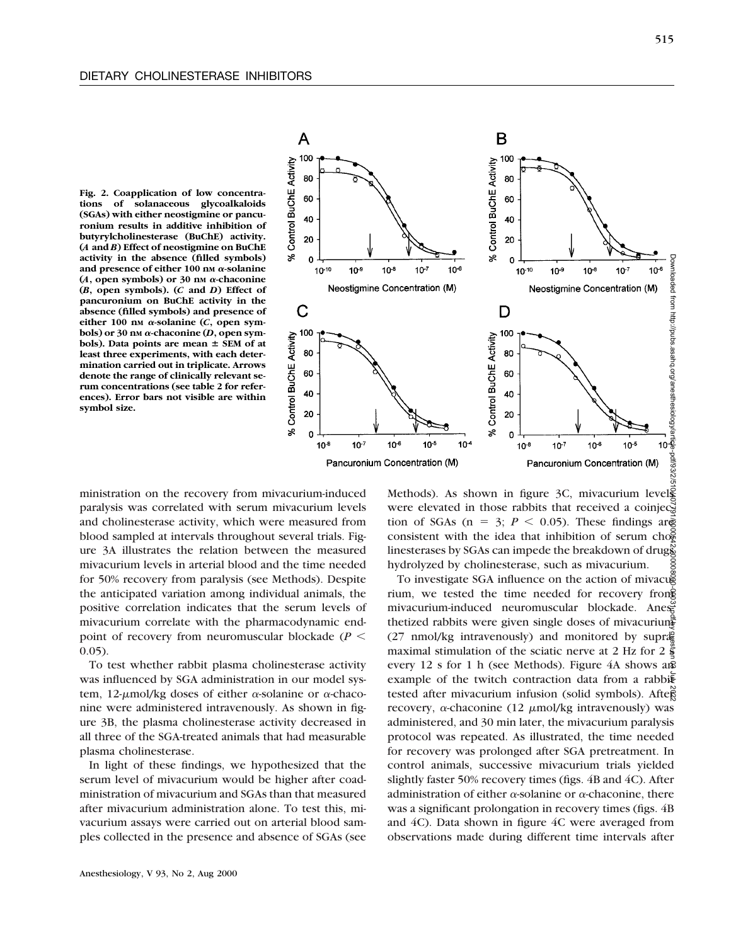**Fig. 2. Coapplication of low concentrations of solanaceous glycoalkaloids (SGAs) with either neostigmine or pancuronium results in additive inhibition of butyrylcholinesterase (BuChE) activity. (***A* **and** *B***) Effect of neostigmine on BuChE activity in the absence (filled symbols) and presence of either 100 nM** <sup>a</sup>**-solanine**  $(A,$  open symbols) or 30 nm  $\alpha$ -chaconine **(***B***, open symbols). (***C* **and** *D***) Effect of pancuronium on BuChE activity in the absence (filled symbols) and presence of** either 100 nm  $\alpha$ -solanine  $(C,$  open sym $b$ ols) or 30 nm  $\alpha$ -chaconine (*D*, open sym**bols**). Data points are mean  $\pm$  SEM of at **least three experiments, with each determination carried out in triplicate. Arrows denote the range of clinically relevant serum concentrations (see table 2 for references). Error bars not visible are within symbol size.**



ministration on the recovery from mivacurium-induced paralysis was correlated with serum mivacurium levels and cholinesterase activity, which were measured from blood sampled at intervals throughout several trials. Figure 3A illustrates the relation between the measured mivacurium levels in arterial blood and the time needed for 50% recovery from paralysis (see Methods). Despite the anticipated variation among individual animals, the positive correlation indicates that the serum levels of mivacurium correlate with the pharmacodynamic endpoint of recovery from neuromuscular blockade ( $P$  < 0.05).

To test whether rabbit plasma cholinesterase activity was influenced by SGA administration in our model system, 12- $\mu$ mol/kg doses of either  $\alpha$ -solanine or  $\alpha$ -chaconine were administered intravenously. As shown in figure 3B, the plasma cholinesterase activity decreased in all three of the SGA-treated animals that had measurable plasma cholinesterase.

In light of these findings, we hypothesized that the serum level of mivacurium would be higher after coadministration of mivacurium and SGAs than that measured after mivacurium administration alone. To test this, mivacurium assays were carried out on arterial blood samples collected in the presence and absence of SGAs (see Methods). As shown in figure 3C, mivacurium levels were elevated in those rabbits that received a coinjection of SGAs ( $n = 3$ ;  $P < 0.05$ ). These findings are consistent with the idea that inhibition of serum cho $\frac{5}{3}$ linesterases by SGAs can impede the breakdown of drugs hydrolyzed by cholinesterase, such as mivacurium.

To investigate SGA influence on the action of mivacurium, we tested the time needed for recovery from mivacurium-induced neuromuscular blockade. Anes thetized rabbits were given single doses of mivacurium  $(27 \text{ nmol/kg}$  intravenously) and monitored by supramaximal stimulation of the sciatic nerve at 2 Hz for 2  $\frac{8}{9}$ every 12 s for 1 h (see Methods). Figure 4A shows and example of the twitch contraction data from a rabbi $\bar{F}$ tested after mivacurium infusion (solid symbols). After recovery,  $\alpha$ -chaconine (12  $\mu$ mol/kg intravenously) was administered, and 30 min later, the mivacurium paralysis protocol was repeated. As illustrated, the time needed for recovery was prolonged after SGA pretreatment. In control animals, successive mivacurium trials yielded slightly faster 50% recovery times (figs. 4B and 4C). After administration of either  $\alpha$ -solanine or  $\alpha$ -chaconine, there was a significant prolongation in recovery times (figs. 4B and 4C). Data shown in figure 4C were averaged from observations made during different time intervals after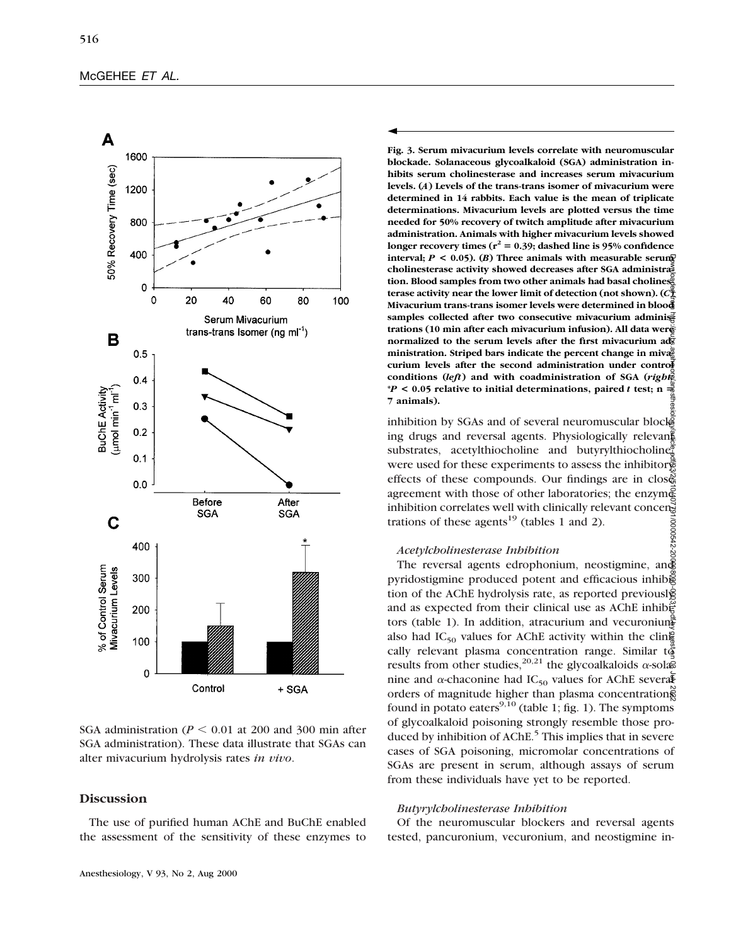

SGA administration ( $P < 0.01$  at 200 and 300 min after SGA administration). These data illustrate that SGAs can alter mivacurium hydrolysis rates *in vivo*.

#### **Discussion**

The use of purified human AChE and BuChE enabled the assessment of the sensitivity of these enzymes to **Fig. 3. Serum mivacurium levels correlate with neuromuscular blockade. Solanaceous glycoalkaloid (SGA) administration inhibits serum cholinesterase and increases serum mivacurium levels. (***A***) Levels of the trans-trans isomer of mivacurium were determined in 14 rabbits. Each value is the mean of triplicate determinations. Mivacurium levels are plotted versus the time needed for 50% recovery of twitch amplitude after mivacurium administration. Animals with higher mivacurium levels showed** longer recovery times ( $r^2 = 0.39$ ; dashed line is 95% confidence **interval;**  $P \leq 0.05$ . (*B*) Three animals with measurable serumal **cholinesterase activity showed decreases after SGA administration. Blood samples from two other animals had basal cholinesterase activity near the lower limit of detection (not shown). (***C***) Mivacurium trans-trans isomer levels were determined in blood** samples collected after two consecutive mivacurium adminis **trations (10 min after each mivacurium infusion). All data were** normalized to the serum levels after the first mivacurium ad<sup> $\bar{g}$ </sup> **ministration. Striped bars indicate the percent change in mivacurium levels after the second administration under control conditions (***left***) and with coadministration of SGA (***right;*  $*P < 0.05$  relative to initial determinations, paired *t* test; n **7 animals).**

Š

inhibition by SGAs and of several neuromuscular block- $\frac{1}{2}$ ing drugs and reversal agents. Physiologically relevant substrates, acetylthiocholine and butyrylthiocholine, were used for these experiments to assess the inhibitor effects of these compounds. Our findings are in close agreement with those of other laboratories; the enzyme inhibition correlates well with clinically relevant concentrations of these agents<sup>19</sup> (tables 1 and 2). trations of these agents<sup>19</sup> (tables 1 and 2).

## *Acetylcholinesterase Inhibition*

The reversal agents edrophonium, neostigmine, and pyridostigmine produced potent and efficacious inhibig tion of the AChE hydrolysis rate, as reported previously and as expected from their clinical use as AChE inhibitors (table 1). In addition, atracurium and vecuronium also had IC<sub>50</sub> values for AChE activity within the clini cally relevant plasma concentration range. Similar  $t\ddot{\delta}$ results from other studies,<sup>20,21</sup> the glycoalkaloids  $\alpha$ -sola<sup>3</sup> nine and  $\alpha$ -chaconine had IC<sub>50</sub> values for AChE several orders of magnitude higher than plasma concentrations found in potato eaters<sup>9,10</sup> (table 1; fig. 1). The symptoms of glycoalkaloid poisoning strongly resemble those produced by inhibition of AChE.<sup>5</sup> This implies that in severe cases of SGA poisoning, micromolar concentrations of SGAs are present in serum, although assays of serum from these individuals have yet to be reported. Downloaded from http://pubs.asahq.org/anesthesiology/article-pdf/93/2/510/407791/0000542-200008000-00031.pdf by guest on 03 July 2022

## *Butyrylcholinesterase Inhibition*

Of the neuromuscular blockers and reversal agents tested, pancuronium, vecuronium, and neostigmine in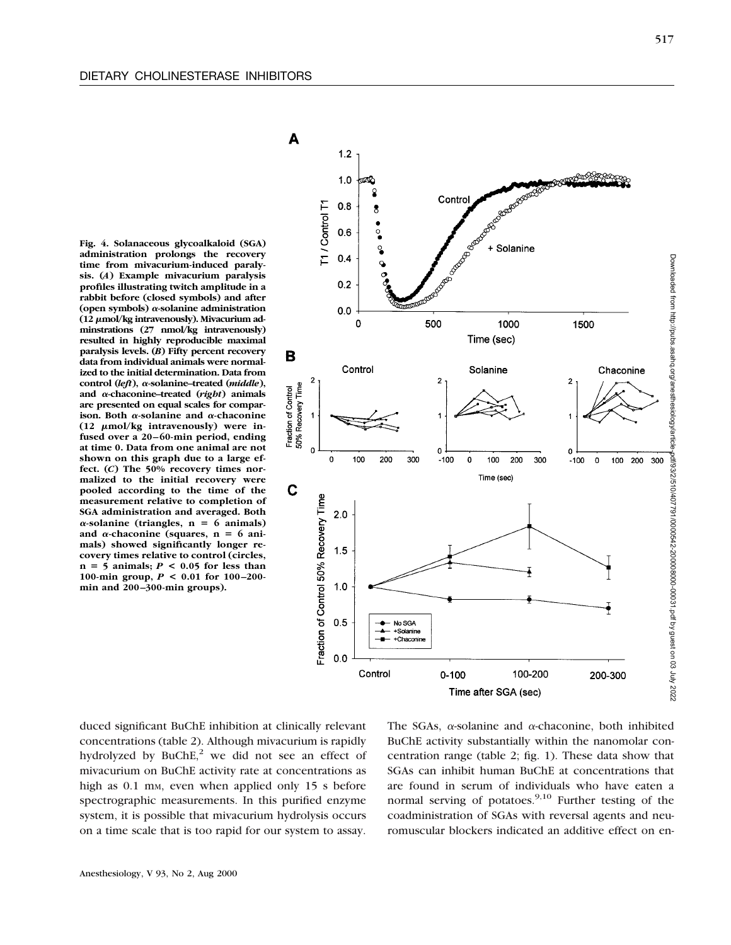**Fig. 4. Solanaceous glycoalkaloid (SGA) administration prolongs the recovery time from mivacurium-induced paralysis. (***A***) Example mivacurium paralysis profiles illustrating twitch amplitude in a rabbit before (closed symbols) and after (open symbols)** <sup>a</sup>**-solanine administration (12** <sup>m</sup>**mol/kg intravenously). Mivacurium adminstrations (27 nmol/kg intravenously) resulted in highly reproducible maximal paralysis levels. (***B***) Fifty percent recovery data from individual animals were normalized to the initial determination. Data from control (***left***),** <sup>a</sup>**-solanine–treated (***middle***), and** <sup>a</sup>**-chaconine–treated (***right***) animals are presented on equal scales for comparison. Both** <sup>a</sup>**-solanine and** <sup>a</sup>**-chaconine (12** <sup>m</sup>**mol/kg intravenously) were infused over a 20–60-min period, ending at time 0. Data from one animal are not shown on this graph due to a large effect. (***C***) The 50% recovery times normalized to the initial recovery were pooled according to the time of the measurement relative to completion of SGA administration and averaged. Both**  $\alpha$ -solanine (triangles,  $n = 6$  animals) and  $\alpha$ -chaconine (squares,  $n = 6$  ani**mals) showed significantly longer recovery times relative to control (circles,**  $n = 5$  animals;  $P < 0.05$  for less than **100-min group,** *P* **< 0.01 for 100–200 min and 200–300-min groups).**



duced significant BuChE inhibition at clinically relevant concentrations (table 2). Although mivacurium is rapidly hydrolyzed by BuChE, $^2$  we did not see an effect of mivacurium on BuChE activity rate at concentrations as high as 0.1 mm, even when applied only 15 s before spectrographic measurements. In this purified enzyme system, it is possible that mivacurium hydrolysis occurs on a time scale that is too rapid for our system to assay.

The SGAs,  $\alpha$ -solanine and  $\alpha$ -chaconine, both inhibited BuChE activity substantially within the nanomolar concentration range (table 2; fig. 1). These data show that SGAs can inhibit human BuChE at concentrations that are found in serum of individuals who have eaten a normal serving of potatoes. $9,10$  Further testing of the coadministration of SGAs with reversal agents and neuromuscular blockers indicated an additive effect on en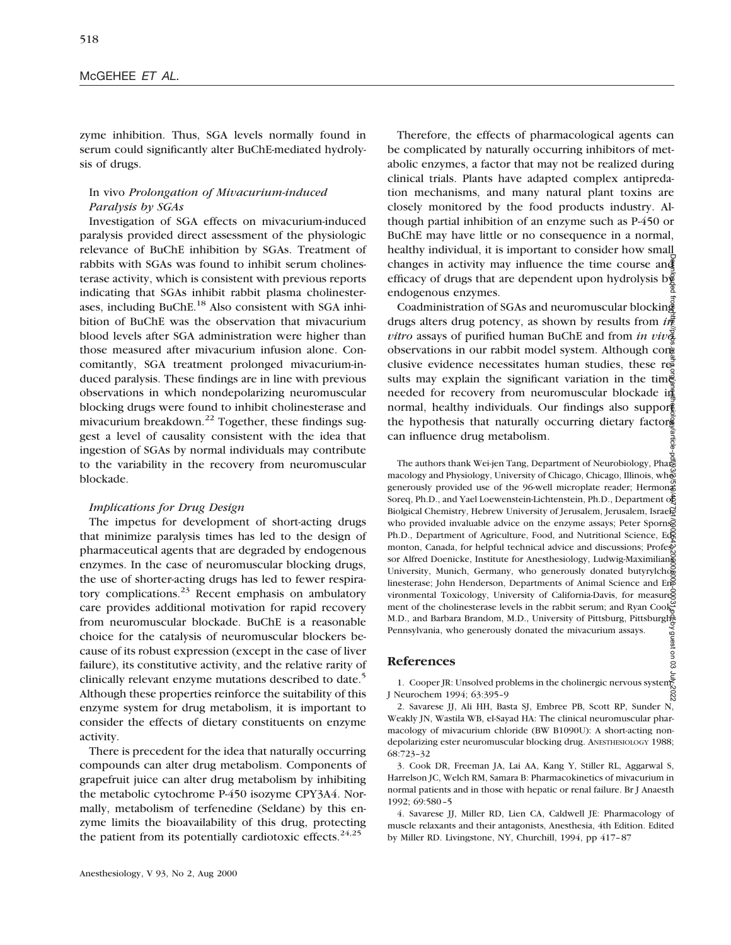zyme inhibition. Thus, SGA levels normally found in serum could significantly alter BuChE-mediated hydrolysis of drugs.

## In vivo *Prolongation of Mivacurium-induced Paralysis by SGAs*

Investigation of SGA effects on mivacurium-induced paralysis provided direct assessment of the physiologic relevance of BuChE inhibition by SGAs. Treatment of rabbits with SGAs was found to inhibit serum cholinesterase activity, which is consistent with previous reports indicating that SGAs inhibit rabbit plasma cholinesterases, including BuChE.<sup>18</sup> Also consistent with SGA inhibition of BuChE was the observation that mivacurium blood levels after SGA administration were higher than those measured after mivacurium infusion alone. Concomitantly, SGA treatment prolonged mivacurium-induced paralysis. These findings are in line with previous observations in which nondepolarizing neuromuscular blocking drugs were found to inhibit cholinesterase and mivacurium breakdown.22 Together, these findings suggest a level of causality consistent with the idea that ingestion of SGAs by normal individuals may contribute to the variability in the recovery from neuromuscular blockade.

#### *Implications for Drug Design*

The impetus for development of short-acting drugs that minimize paralysis times has led to the design of pharmaceutical agents that are degraded by endogenous enzymes. In the case of neuromuscular blocking drugs, the use of shorter-acting drugs has led to fewer respiratory complications.<sup>23</sup> Recent emphasis on ambulatory care provides additional motivation for rapid recovery from neuromuscular blockade. BuChE is a reasonable choice for the catalysis of neuromuscular blockers because of its robust expression (except in the case of liver failure), its constitutive activity, and the relative rarity of clinically relevant enzyme mutations described to date.<sup>5</sup> Although these properties reinforce the suitability of this enzyme system for drug metabolism, it is important to consider the effects of dietary constituents on enzyme activity.

There is precedent for the idea that naturally occurring compounds can alter drug metabolism. Components of grapefruit juice can alter drug metabolism by inhibiting the metabolic cytochrome P-450 isozyme CPY3A4. Normally, metabolism of terfenedine (Seldane) by this enzyme limits the bioavailability of this drug, protecting the patient from its potentially cardiotoxic effects.<sup>24,25</sup>

Therefore, the effects of pharmacological agents can be complicated by naturally occurring inhibitors of metabolic enzymes, a factor that may not be realized during clinical trials. Plants have adapted complex antipredation mechanisms, and many natural plant toxins are closely monitored by the food products industry. Although partial inhibition of an enzyme such as P-450 or BuChE may have little or no consequence in a normal, healthy individual, it is important to consider how small changes in activity may influence the time course and efficacy of drugs that are dependent upon hydrolysis by endogenous enzymes.

Coadministration of SGAs and neuromuscular blocking drugs alters drug potency, as shown by results from *in vitro* assays of purified human BuChE and from *in vivo* observations in our rabbit model system. Although conclusive evidence necessitates human studies, these results may explain the significant variation in the time needed for recovery from neuromuscular blockade in normal, healthy individuals. Our findings also support the hypothesis that naturally occurring dietary factors can influence drug metabolism.

The authors thank Wei-jen Tang, Department of Neurobiology, Pharmacology and Physiology, University of Chicago, Chicago, Illinois, who generously provided use of the 96-well microplate reader; Hermona Soreq, Ph.D., and Yael Loewenstein-Lichtenstein, Ph.D., Department of Biolgical Chemistry, Hebrew University of Jerusalem, Jerusalem, Israel who provided invaluable advice on the enzyme assays; Peter Sporns, Ph.D., Department of Agriculture, Food, and Nutritional Science, Edg monton, Canada, for helpful technical advice and discussions; Professor Alfred Doenicke, Institute for Anesthesiology, Ludwig-Maximilian& University, Munich, Germany, who generously donated butyrylchog linesterase; John Henderson, Departments of Animal Science and Environmental Toxicology, University of California-Davis, for measureg ment of the cholinesterase levels in the rabbit serum; and Ryan Cook, M.D., and Barbara Brandom, M.D., University of Pittsburg, Pittsburgh, Pennsylvania, who generously donated the mivacurium assays. Downloaded from http://pubs.asahq.org/anesthesiology/article-pdf/93/2/510/407791/0000542-200008000-00031.pdf by guest on 03 July 2022

#### **References**

1. Cooper JR: Unsolved problems in the cholinergic nervous system. J Neurochem 1994; 63:395–9

 $\overline{5}$ 

2. Savarese JJ, Ali HH, Basta SJ, Embree PB, Scott RP, Sunder N, Weakly JN, Wastila WB, el-Sayad HA: The clinical neuromuscular pharmacology of mivacurium chloride (BW B1090U): A short-acting nondepolarizing ester neuromuscular blocking drug. ANESTHESIOLOGY 1988; 68:723–32

3. Cook DR, Freeman JA, Lai AA, Kang Y, Stiller RL, Aggarwal S, Harrelson JC, Welch RM, Samara B: Pharmacokinetics of mivacurium in normal patients and in those with hepatic or renal failure. Br J Anaesth 1992; 69:580–5

4. Savarese JJ, Miller RD, Lien CA, Caldwell JE: Pharmacology of muscle relaxants and their antagonists, Anesthesia, 4th Edition. Edited by Miller RD. Livingstone, NY, Churchill, 1994, pp 417–87